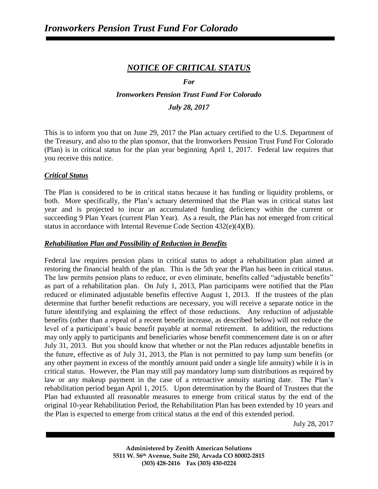# *NOTICE OF CRITICAL STATUS*

#### *For*

# *Ironworkers Pension Trust Fund For Colorado*

### *July 28, 2017*

This is to inform you that on June 29, 2017 the Plan actuary certified to the U.S. Department of the Treasury, and also to the plan sponsor, that the Ironworkers Pension Trust Fund For Colorado (Plan) is in critical status for the plan year beginning April 1, 2017. Federal law requires that you receive this notice.

### *Critical Status*

The Plan is considered to be in critical status because it has funding or liquidity problems, or both. More specifically, the Plan's actuary determined that the Plan was in critical status last year and is projected to incur an accumulated funding deficiency within the current or succeeding 9 Plan Years (current Plan Year). As a result, the Plan has not emerged from critical status in accordance with Internal Revenue Code Section 432(e)(4)(B).

### *Rehabilitation Plan and Possibility of Reduction in Benefits*

Federal law requires pension plans in critical status to adopt a rehabilitation plan aimed at restoring the financial health of the plan. This is the 5th year the Plan has been in critical status. The law permits pension plans to reduce, or even eliminate, benefits called "adjustable benefits" as part of a rehabilitation plan. On July 1, 2013, Plan participants were notified that the Plan reduced or eliminated adjustable benefits effective August 1, 2013. If the trustees of the plan determine that further benefit reductions are necessary, you will receive a separate notice in the future identifying and explaining the effect of those reductions. Any reduction of adjustable benefits (other than a repeal of a recent benefit increase, as described below) will not reduce the level of a participant's basic benefit payable at normal retirement. In addition, the reductions may only apply to participants and beneficiaries whose benefit commencement date is on or after July 31, 2013. But you should know that whether or not the Plan reduces adjustable benefits in the future, effective as of July 31, 2013, the Plan is not permitted to pay lump sum benefits (or any other payment in excess of the monthly amount paid under a single life annuity) while it is in critical status. However, the Plan may still pay mandatory lump sum distributions as required by law or any makeup payment in the case of a retroactive annuity starting date. The Plan's rehabilitation period began April 1, 2015. Upon determination by the Board of Trustees that the Plan had exhausted all reasonable measures to emerge from critical status by the end of the original 10-year Rehabilitation Period, the Rehabilitation Plan has been extended by 10 years and the Plan is expected to emerge from critical status at the end of this extended period.

July 28, 2017